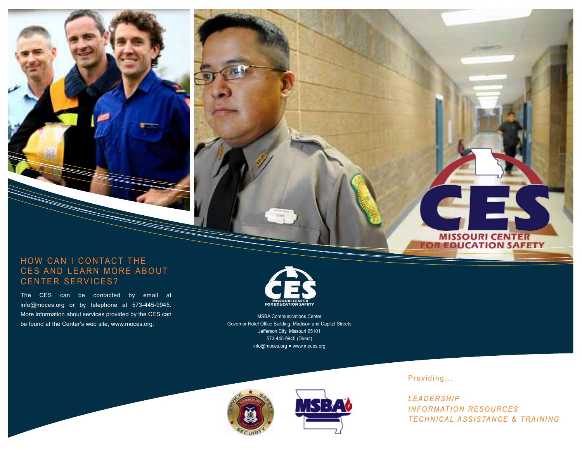### HOW CAN I CONTACT THE CES AND LEARN MORE ABOUT CENTER SERVICES?

The CES can be contacted by email at info@moces.org or by telephone at 573-445-9945. More information about services provided by the CES can be found at the Center's web site, www.moces.org.



MSBA Communications Center Governor Hotel Office Building, Madison and Capitol Streets Jefferson City, Missouri 65101 573-445-9945 (Direct) info@moces.org ● www.moces.org





Providing...

*L E A D E R S H I P INFORMATION RESOURCES T E C H N I C A L A S S I S TA N C E & T R A I N I N G*

**MISSOURI CENTER<br>FOR EDUCATION SAFETY**